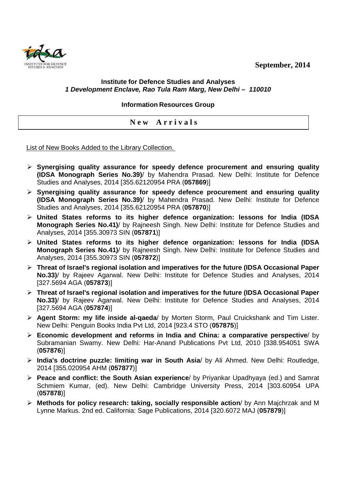**September, 2014** 



## **Institute for Defence Studies and Analyses 1 Development Enclave, Rao Tula Ram Marg, New Delhi – 110010**

**Information Resources Group** 

**N e w A r r i v a l s** 

List of New Books Added to the Library Collection.

- **Synergising quality assurance for speedy defence procurement and ensuring quality (IDSA Monograph Series No.39)**/ by Mahendra Prasad. New Delhi: Institute for Defence Studies and Analyses, 2014 [355.62120954 PRA (**057869**)]
- **Synergising quality assurance for speedy defence procurement and ensuring quality (IDSA Monograph Series No.39)**/ by Mahendra Prasad. New Delhi: Institute for Defence Studies and Analyses, 2014 [355.62120954 PRA (**057870**)]
- **United States reforms to its higher defence organization: lessons for India (IDSA Monograph Series No.41)**/ by Rajneesh Singh. New Delhi: Institute for Defence Studies and Analyses, 2014 [355.30973 SIN (**057871**)]
- **United States reforms to its higher defence organization: lessons for India (IDSA Monograph Series No.41)**/ by Rajneesh Singh. New Delhi: Institute for Defence Studies and Analyses, 2014 [355.30973 SIN (**057872**)]
- **Threat of Israel's regional isolation and imperatives for the future (IDSA Occasional Paper No.33)**/ by Rajeev Agarwal. New Delhi: Institute for Defence Studies and Analyses, 2014 [327.5694 AGA (**057873**)]
- **Threat of Israel's regional isolation and imperatives for the future (IDSA Occasional Paper No.33)**/ by Rajeev Agarwal. New Delhi: Institute for Defence Studies and Analyses, 2014 [327.5694 AGA (**057874**)]
- **Agent Storm: my life inside al-qaeda**/ by Morten Storm, Paul Cruickshank and Tim Lister. New Delhi: Penguin Books India Pvt Ltd, 2014 [923.4 STO (**057875**)]
- **Economic development and reforms in India and China: a comparative perspective**/ by Subramanian Swamy. New Delhi: Har-Anand Publications Pvt Ltd, 2010 [338.954051 SWA (**057876**)]
- **India's doctrine puzzle: limiting war in South Asia**/ by Ali Ahmed. New Delhi: Routledge, 2014 [355.020954 AHM (**057877**)]
- **Peace and conflict: the South Asian experience**/ by Priyankar Upadhyaya (ed.) and Samrat Schmiem Kumar, (ed). New Delhi: Cambridge University Press, 2014 [303.60954 UPA (**057878**)]
- **Methods for policy research: taking, socially responsible action**/ by Ann Majchrzak and M Lynne Markus. 2nd ed. California: Sage Publications, 2014 [320.6072 MAJ (**057879**)]